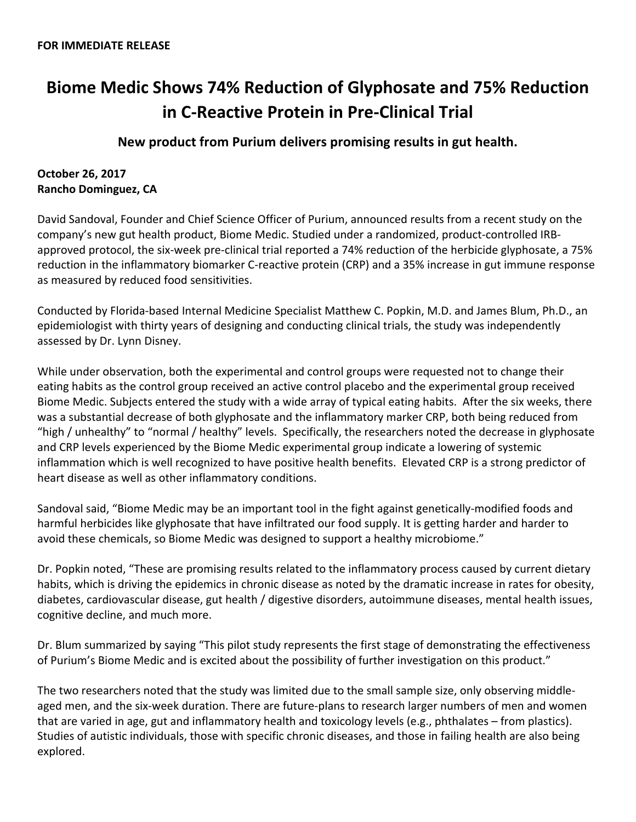## **Biome Medic Shows 74% Reduction of Glyphosate and 75% Reduction in C-Reactive Protein in Pre-Clinical Trial**

**New product from Purium delivers promising results in gut health.** 

## **October 26, 2017 Rancho Dominguez, CA**

David Sandoval, Founder and Chief Science Officer of Purium, announced results from a recent study on the company's new gut health product, Biome Medic. Studied under a randomized, product-controlled IRBapproved protocol, the six-week pre-clinical trial reported a 74% reduction of the herbicide glyphosate, a 75% reduction in the inflammatory biomarker C-reactive protein (CRP) and a 35% increase in gut immune response as measured by reduced food sensitivities.

Conducted by Florida-based Internal Medicine Specialist Matthew C. Popkin, M.D. and James Blum, Ph.D., an epidemiologist with thirty years of designing and conducting clinical trials, the study was independently assessed by Dr. Lynn Disney.

While under observation, both the experimental and control groups were requested not to change their eating habits as the control group received an active control placebo and the experimental group received Biome Medic. Subjects entered the study with a wide array of typical eating habits. After the six weeks, there was a substantial decrease of both glyphosate and the inflammatory marker CRP, both being reduced from "high / unhealthy" to "normal / healthy" levels. Specifically, the researchers noted the decrease in glyphosate and CRP levels experienced by the Biome Medic experimental group indicate a lowering of systemic inflammation which is well recognized to have positive health benefits. Elevated CRP is a strong predictor of heart disease as well as other inflammatory conditions.

Sandoval said, "Biome Medic may be an important tool in the fight against genetically-modified foods and harmful herbicides like glyphosate that have infiltrated our food supply. It is getting harder and harder to avoid these chemicals, so Biome Medic was designed to support a healthy microbiome."

Dr. Popkin noted, "These are promising results related to the inflammatory process caused by current dietary habits, which is driving the epidemics in chronic disease as noted by the dramatic increase in rates for obesity, diabetes, cardiovascular disease, gut health / digestive disorders, autoimmune diseases, mental health issues, cognitive decline, and much more.

Dr. Blum summarized by saying "This pilot study represents the first stage of demonstrating the effectiveness of Purium's Biome Medic and is excited about the possibility of further investigation on this product."

The two researchers noted that the study was limited due to the small sample size, only observing middleaged men, and the six-week duration. There are future-plans to research larger numbers of men and women that are varied in age, gut and inflammatory health and toxicology levels (e.g., phthalates – from plastics). Studies of autistic individuals, those with specific chronic diseases, and those in failing health are also being explored.